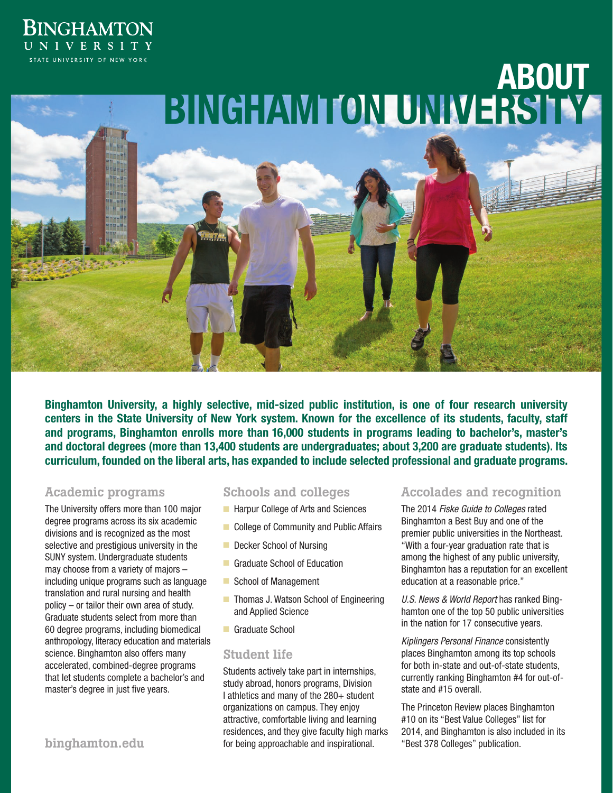# **BINGHAMTON** UNIVERSITY STATE UNIVERSITY OF NEW YORK



**Binghamton University, a highly selective, mid-sized public institution, is one of four research university centers in the State University of New York system. Known for the excellence of its students, faculty, staff and programs, Binghamton enrolls more than 16,000 students in programs leading to bachelor's, master's and doctoral degrees (more than 13,400 students are undergraduates; about 3,200 are graduate students). Its curriculum, founded on the liberal arts, has expanded to include selected professional and graduate programs.**

## Academic programs

The University offers more than 100 major degree programs across its six academic divisions and is recognized as the most selective and prestigious university in the SUNY system. Undergraduate students may choose from a variety of majors – including unique programs such as language translation and rural nursing and health policy – or tailor their own area of study. Graduate students select from more than 60 degree programs, including biomedical anthropology, literacy education and materials science. Binghamton also offers many accelerated, combined-degree programs that let students complete a bachelor's and master's degree in just five years.

### Schools and colleges

- Harpur College of Arts and Sciences
- College of Community and Public Affairs
- Decker School of Nursing
- **Graduate School of Education**
- School of Management
- Thomas J. Watson School of Engineering and Applied Science
- Graduate School

### Student life

Students actively take part in internships, study abroad, honors programs, Division I athletics and many of the 280+ student organizations on campus. They enjoy attractive, comfortable living and learning residences, and they give faculty high marks binghamton.edu **business** for being approachable and inspirational. The "Best 378 Colleges" publication.

# Accolades and recognition

The 2014 *Fiske Guide to Colleges* rated Binghamton a Best Buy and one of the premier public universities in the Northeast. "With a four-year graduation rate that is among the highest of any public university, Binghamton has a reputation for an excellent education at a reasonable price."

*U.S. News & World Report* has ranked Binghamton one of the top 50 public universities in the nation for 17 consecutive years.

*Kiplingers Personal Finance* consistently places Binghamton among its top schools for both in-state and out-of-state students, currently ranking Binghamton #4 for out-ofstate and #15 overall.

The Princeton Review places Binghamton #10 on its "Best Value Colleges" list for 2014, and Binghamton is also included in its